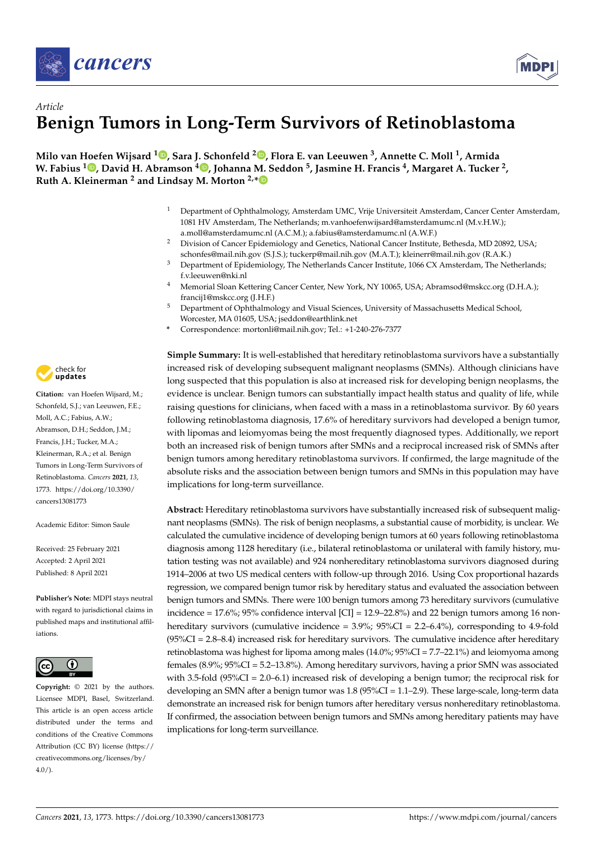



# *Article* **Benign Tumors in Long-Term Survivors of Retinoblastoma**

**Milo van Hoefen Wijsard [1](https://orcid.org/0000-0002-2227-223X) , Sara J. Schonfeld <sup>2</sup> [,](https://orcid.org/0000-0002-4368-4647) Flora E. van Leeuwen <sup>3</sup> , Annette C. Moll <sup>1</sup> , Armida W. Fabius <sup>1</sup> [,](https://orcid.org/0000-0002-1220-1868) David H. Abramson <sup>4</sup> [,](https://orcid.org/0000-0002-0118-6391) Johanna M. Seddon <sup>5</sup> , Jasmine H. Francis <sup>4</sup> , Margaret A. Tucker <sup>2</sup> , Ruth A. Kleinerman <sup>2</sup> and Lindsay M. Morton 2,[\\*](https://orcid.org/0000-0001-9767-2310)**

- <sup>1</sup> Department of Ophthalmology, Amsterdam UMC, Vrije Universiteit Amsterdam, Cancer Center Amsterdam, 1081 HV Amsterdam, The Netherlands; m.vanhoefenwijsard@amsterdamumc.nl (M.v.H.W.); a.moll@amsterdamumc.nl (A.C.M.); a.fabius@amsterdamumc.nl (A.W.F.)
- <sup>2</sup> Division of Cancer Epidemiology and Genetics, National Cancer Institute, Bethesda, MD 20892, USA; schonfes@mail.nih.gov (S.J.S.); tuckerp@mail.nih.gov (M.A.T.); kleinerr@mail.nih.gov (R.A.K.)
- <sup>3</sup> Department of Epidemiology, The Netherlands Cancer Institute, 1066 CX Amsterdam, The Netherlands; f.v.leeuwen@nki.nl
- Memorial Sloan Kettering Cancer Center, New York, NY 10065, USA; Abramsod@mskcc.org (D.H.A.); francij1@mskcc.org (J.H.F.)
- <sup>5</sup> Department of Ophthalmology and Visual Sciences, University of Massachusetts Medical School, Worcester, MA 01605, USA; jseddon@earthlink.net
- **\*** Correspondence: mortonli@mail.nih.gov; Tel.: +1-240-276-7377

check for **-**

**Citation:** van Hoefen Wijsard, M.; Schonfeld, S.J.; van Leeuwen, F.E.; Moll, A.C.; Fabius, A.W.; Abramson, D.H.; Seddon, J.M.; Francis, J.H.; Tucker, M.A.; Kleinerman, R.A.; et al. Benign Tumors in Long-Term Survivors of Retinoblastoma. *Cancers* **2021**, *13*, 1773. [https://doi.org/10.3390/](https://doi.org/10.3390/cancers13081773) [cancers13081773](https://doi.org/10.3390/cancers13081773)

Academic Editor: Simon Saule

Received: 25 February 2021 Accepted: 2 April 2021 Published: 8 April 2021

**Publisher's Note:** MDPI stays neutral with regard to jurisdictional claims in published maps and institutional affiliations.



**Copyright:** © 2021 by the authors. Licensee MDPI, Basel, Switzerland. This article is an open access article distributed under the terms and conditions of the Creative Commons Attribution (CC BY) license (https:/[/](https://creativecommons.org/licenses/by/4.0/) [creativecommons.org/licenses/by/](https://creativecommons.org/licenses/by/4.0/)  $4.0/$ ).

**Simple Summary:** It is well-established that hereditary retinoblastoma survivors have a substantially increased risk of developing subsequent malignant neoplasms (SMNs). Although clinicians have long suspected that this population is also at increased risk for developing benign neoplasms, the evidence is unclear. Benign tumors can substantially impact health status and quality of life, while raising questions for clinicians, when faced with a mass in a retinoblastoma survivor. By 60 years following retinoblastoma diagnosis, 17.6% of hereditary survivors had developed a benign tumor, with lipomas and leiomyomas being the most frequently diagnosed types. Additionally, we report both an increased risk of benign tumors after SMNs and a reciprocal increased risk of SMNs after benign tumors among hereditary retinoblastoma survivors. If confirmed, the large magnitude of the absolute risks and the association between benign tumors and SMNs in this population may have implications for long-term surveillance.

**Abstract:** Hereditary retinoblastoma survivors have substantially increased risk of subsequent malignant neoplasms (SMNs). The risk of benign neoplasms, a substantial cause of morbidity, is unclear. We calculated the cumulative incidence of developing benign tumors at 60 years following retinoblastoma diagnosis among 1128 hereditary (i.e., bilateral retinoblastoma or unilateral with family history, mutation testing was not available) and 924 nonhereditary retinoblastoma survivors diagnosed during 1914–2006 at two US medical centers with follow-up through 2016. Using Cox proportional hazards regression, we compared benign tumor risk by hereditary status and evaluated the association between benign tumors and SMNs. There were 100 benign tumors among 73 hereditary survivors (cumulative incidence =  $17.6\%$ ;  $95\%$  confidence interval  $\text{[CI]} = 12.9 - 22.8\%$  and 22 benign tumors among 16 nonhereditary survivors (cumulative incidence =  $3.9\%$ ;  $95\%$ CI =  $2.2-6.4\%$ ), corresponding to 4.9-fold  $(95\%CI = 2.8–8.4)$  increased risk for hereditary survivors. The cumulative incidence after hereditary retinoblastoma was highest for lipoma among males (14.0%; 95%CI = 7.7–22.1%) and leiomyoma among females (8.9%; 95%CI = 5.2–13.8%). Among hereditary survivors, having a prior SMN was associated with 3.5-fold ( $95\%CI = 2.0-6.1$ ) increased risk of developing a benign tumor; the reciprocal risk for developing an SMN after a benign tumor was 1.8 (95%CI = 1.1–2.9). These large-scale, long-term data demonstrate an increased risk for benign tumors after hereditary versus nonhereditary retinoblastoma. If confirmed, the association between benign tumors and SMNs among hereditary patients may have implications for long-term surveillance.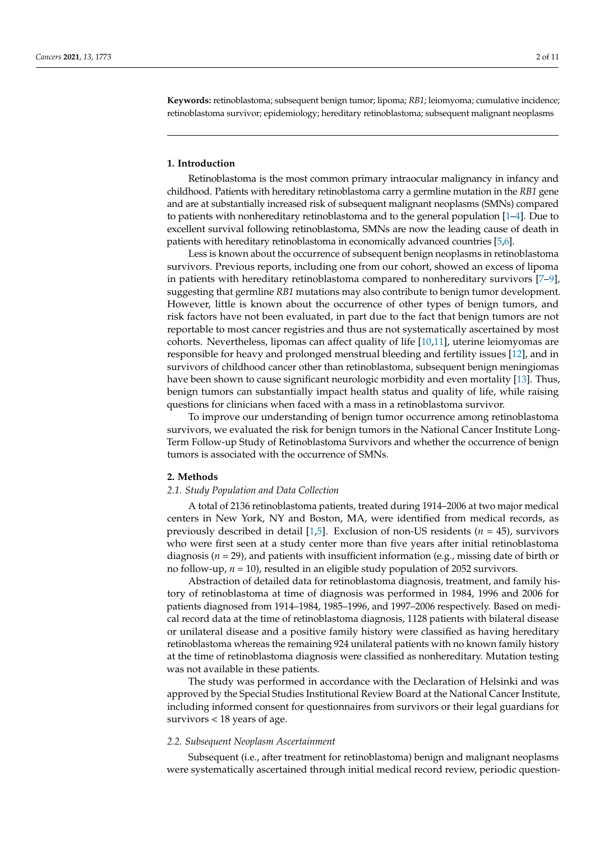**Keywords:** retinoblastoma; subsequent benign tumor; lipoma; *RB1*; leiomyoma; cumulative incidence; retinoblastoma survivor; epidemiology; hereditary retinoblastoma; subsequent malignant neoplasms

## **1. Introduction**

Retinoblastoma is the most common primary intraocular malignancy in infancy and childhood. Patients with hereditary retinoblastoma carry a germline mutation in the *RB1* gene and are at substantially increased risk of subsequent malignant neoplasms (SMNs) compared to patients with nonhereditary retinoblastoma and to the general population [\[1–](#page-9-0)[4\]](#page-9-1). Due to excellent survival following retinoblastoma, SMNs are now the leading cause of death in patients with hereditary retinoblastoma in economically advanced countries [\[5](#page-9-2)[,6\]](#page-9-3).

Less is known about the occurrence of subsequent benign neoplasms in retinoblastoma survivors. Previous reports, including one from our cohort, showed an excess of lipoma in patients with hereditary retinoblastoma compared to nonhereditary survivors [\[7–](#page-9-4)[9\]](#page-9-5), suggesting that germline *RB1* mutations may also contribute to benign tumor development. However, little is known about the occurrence of other types of benign tumors, and risk factors have not been evaluated, in part due to the fact that benign tumors are not reportable to most cancer registries and thus are not systematically ascertained by most cohorts. Nevertheless, lipomas can affect quality of life [\[10,](#page-9-6)[11\]](#page-10-0), uterine leiomyomas are responsible for heavy and prolonged menstrual bleeding and fertility issues [\[12\]](#page-10-1), and in survivors of childhood cancer other than retinoblastoma, subsequent benign meningiomas have been shown to cause significant neurologic morbidity and even mortality [\[13\]](#page-10-2). Thus, benign tumors can substantially impact health status and quality of life, while raising questions for clinicians when faced with a mass in a retinoblastoma survivor.

To improve our understanding of benign tumor occurrence among retinoblastoma survivors, we evaluated the risk for benign tumors in the National Cancer Institute Long-Term Follow-up Study of Retinoblastoma Survivors and whether the occurrence of benign tumors is associated with the occurrence of SMNs.

## **2. Methods**

## *2.1. Study Population and Data Collection*

A total of 2136 retinoblastoma patients, treated during 1914–2006 at two major medical centers in New York, NY and Boston, MA, were identified from medical records, as previously described in detail [\[1](#page-9-0)[,5\]](#page-9-2). Exclusion of non-US residents (*n* = 45), survivors who were first seen at a study center more than five years after initial retinoblastoma diagnosis (*n* = 29), and patients with insufficient information (e.g., missing date of birth or no follow-up, *n* = 10), resulted in an eligible study population of 2052 survivors.

Abstraction of detailed data for retinoblastoma diagnosis, treatment, and family history of retinoblastoma at time of diagnosis was performed in 1984, 1996 and 2006 for patients diagnosed from 1914–1984, 1985–1996, and 1997–2006 respectively. Based on medical record data at the time of retinoblastoma diagnosis, 1128 patients with bilateral disease or unilateral disease and a positive family history were classified as having hereditary retinoblastoma whereas the remaining 924 unilateral patients with no known family history at the time of retinoblastoma diagnosis were classified as nonhereditary. Mutation testing was not available in these patients.

The study was performed in accordance with the Declaration of Helsinki and was approved by the Special Studies Institutional Review Board at the National Cancer Institute, including informed consent for questionnaires from survivors or their legal guardians for survivors < 18 years of age.

#### *2.2. Subsequent Neoplasm Ascertainment*

Subsequent (i.e., after treatment for retinoblastoma) benign and malignant neoplasms were systematically ascertained through initial medical record review, periodic question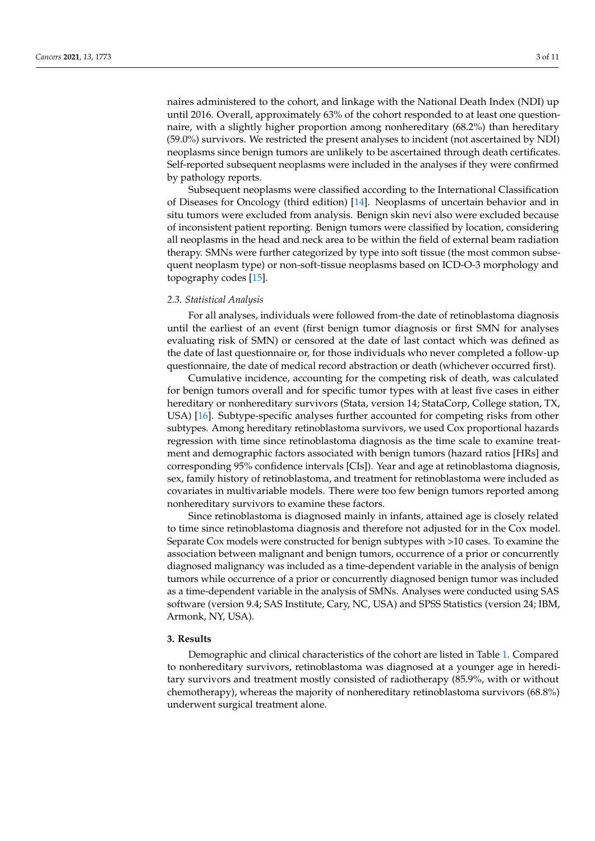naires administered to the cohort, and linkage with the National Death Index (NDI) up until 2016. Overall, approximately 63% of the cohort responded to at least one questionnaire, with a slightly higher proportion among nonhereditary (68.2%) than hereditary (59.0%) survivors. We restricted the present analyses to incident (not ascertained by NDI) neoplasms since benign tumors are unlikely to be ascertained through death certificates. Self-reported subsequent neoplasms were included in the analyses if they were confirmed by pathology reports.

Subsequent neoplasms were classified according to the International Classification of Diseases for Oncology (third edition) [\[14\]](#page-10-3). Neoplasms of uncertain behavior and in situ tumors were excluded from analysis. Benign skin nevi also were excluded because of inconsistent patient reporting. Benign tumors were classified by location, considering all neoplasms in the head and neck area to be within the field of external beam radiation therapy. SMNs were further categorized by type into soft tissue (the most common subsequent neoplasm type) or non-soft-tissue neoplasms based on ICD-O-3 morphology and topography codes [\[15\]](#page-10-4).

## *2.3. Statistical Analysis*

For all analyses, individuals were followed from-the date of retinoblastoma diagnosis until the earliest of an event (first benign tumor diagnosis or first SMN for analyses evaluating risk of SMN) or censored at the date of last contact which was defined as the date of last questionnaire or, for those individuals who never completed a follow-up questionnaire, the date of medical record abstraction or death (whichever occurred first).

Cumulative incidence, accounting for the competing risk of death, was calculated for benign tumors overall and for specific tumor types with at least five cases in either hereditary or nonhereditary survivors (Stata, version 14; StataCorp, College station, TX, USA) [\[16\]](#page-10-5). Subtype-specific analyses further accounted for competing risks from other subtypes. Among hereditary retinoblastoma survivors, we used Cox proportional hazards regression with time since retinoblastoma diagnosis as the time scale to examine treatment and demographic factors associated with benign tumors (hazard ratios [HRs] and corresponding 95% confidence intervals [CIs]). Year and age at retinoblastoma diagnosis, sex, family history of retinoblastoma, and treatment for retinoblastoma were included as covariates in multivariable models. There were too few benign tumors reported among nonhereditary survivors to examine these factors.

Since retinoblastoma is diagnosed mainly in infants, attained age is closely related to time since retinoblastoma diagnosis and therefore not adjusted for in the Cox model. Separate Cox models were constructed for benign subtypes with >10 cases. To examine the association between malignant and benign tumors, occurrence of a prior or concurrently diagnosed malignancy was included as a time-dependent variable in the analysis of benign tumors while occurrence of a prior or concurrently diagnosed benign tumor was included as a time-dependent variable in the analysis of SMNs. Analyses were conducted using SAS software (version 9.4; SAS Institute, Cary, NC, USA) and SPSS Statistics (version 24; IBM, Armonk, NY, USA).

## **3. Results**

Demographic and clinical characteristics of the cohort are listed in Table [1.](#page-3-0) Compared to nonhereditary survivors, retinoblastoma was diagnosed at a younger age in hereditary survivors and treatment mostly consisted of radiotherapy (85.9%, with or without chemotherapy), whereas the majority of nonhereditary retinoblastoma survivors (68.8%) underwent surgical treatment alone.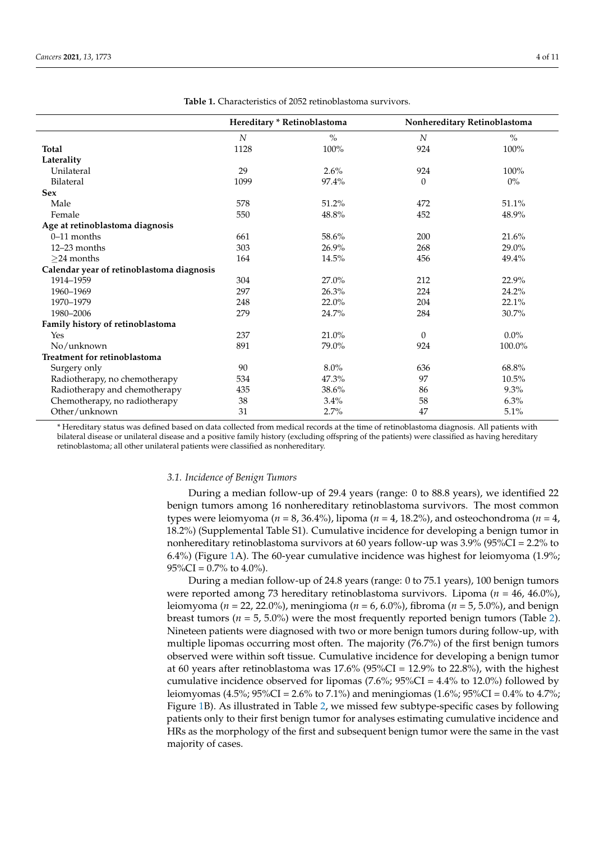<span id="page-3-0"></span>

|                                           | Hereditary * Retinoblastoma |               | Nonhereditary Retinoblastoma |               |
|-------------------------------------------|-----------------------------|---------------|------------------------------|---------------|
|                                           | N                           | $\frac{0}{0}$ | N                            | $\frac{0}{0}$ |
| <b>Total</b>                              | 1128                        | $100\%$       | 924                          | 100%          |
| Laterality                                |                             |               |                              |               |
| Unilateral                                | 29                          | 2.6%          | 924                          | 100%          |
| Bilateral                                 | 1099                        | 97.4%         | $\theta$                     | $0\%$         |
| <b>Sex</b>                                |                             |               |                              |               |
| Male                                      | 578                         | 51.2%         | 472                          | 51.1%         |
| Female                                    | 550                         | 48.8%         | 452                          | 48.9%         |
| Age at retinoblastoma diagnosis           |                             |               |                              |               |
| $0-11$ months                             | 661                         | 58.6%         | 200                          | 21.6%         |
| 12-23 months                              | 303                         | 26.9%         | 268                          | 29.0%         |
| $\geq$ 24 months                          | 164                         | 14.5%         | 456                          | 49.4%         |
| Calendar year of retinoblastoma diagnosis |                             |               |                              |               |
| 1914-1959                                 | 304                         | 27.0%         | 212                          | 22.9%         |
| 1960-1969                                 | 297                         | 26.3%         | 224                          | 24.2%         |
| 1970-1979                                 | 248                         | 22.0%         | 204                          | 22.1%         |
| 1980-2006                                 | 279                         | 24.7%         | 284                          | 30.7%         |
| Family history of retinoblastoma          |                             |               |                              |               |
| Yes                                       | 237                         | 21.0%         | $\theta$                     | $0.0\%$       |
| No/unknown                                | 891                         | 79.0%         | 924                          | 100.0%        |
| Treatment for retinoblastoma              |                             |               |                              |               |
| Surgery only                              | 90                          | $8.0\%$       | 636                          | 68.8%         |
| Radiotherapy, no chemotherapy             | 534                         | 47.3%         | 97                           | 10.5%         |
| Radiotherapy and chemotherapy             | 435                         | 38.6%         | 86                           | 9.3%          |
| Chemotherapy, no radiotherapy             | 38                          | 3.4%          | 58                           | 6.3%          |
| Other/unknown                             | 31                          | 2.7%          | 47                           | 5.1%          |

**Table 1.** Characteristics of 2052 retinoblastoma survivors.

\* Hereditary status was defined based on data collected from medical records at the time of retinoblastoma diagnosis. All patients with bilateral disease or unilateral disease and a positive family history (excluding offspring of the patients) were classified as having hereditary retinoblastoma; all other unilateral patients were classified as nonhereditary.

#### *3.1. Incidence of Benign Tumors*

During a median follow-up of 29.4 years (range: 0 to 88.8 years), we identified 22 benign tumors among 16 nonhereditary retinoblastoma survivors. The most common types were leiomyoma (*n* = 8, 36.4%), lipoma (*n* = 4, 18.2%), and osteochondroma (*n* = 4, 18.2%) (Supplemental Table S1). Cumulative incidence for developing a benign tumor in nonhereditary retinoblastoma survivors at 60 years follow-up was 3.9% (95%CI = 2.2% to 6.4%) (Figure [1A](#page-4-0)). The 60-year cumulative incidence was highest for leiomyoma (1.9%;  $95\%CI = 0.7\%$  to 4.0%).

During a median follow-up of 24.8 years (range: 0 to 75.1 years), 100 benign tumors were reported among 73 hereditary retinoblastoma survivors. Lipoma (*n* = 46, 46.0%), leiomyoma (*n* = 22, 22.0%), meningioma (*n* = 6, 6.0%), fibroma (*n* = 5, 5.0%), and benign breast tumors ( $n = 5, 5.0\%$ ) were the most frequently reported benign tumors (Table [2\)](#page-5-0). Nineteen patients were diagnosed with two or more benign tumors during follow-up, with multiple lipomas occurring most often. The majority (76.7%) of the first benign tumors observed were within soft tissue. Cumulative incidence for developing a benign tumor at 60 years after retinoblastoma was  $17.6\%$  (95%CI = 12.9% to 22.8%), with the highest cumulative incidence observed for lipomas (7.6%;  $95\%CI = 4.4\%$  to 12.0%) followed by leiomyomas (4.5%; 95%CI = 2.6% to 7.1%) and meningiomas (1.6%; 95%CI = 0.4% to 4.7%; Figure [1B](#page-4-0)). As illustrated in Table [2,](#page-5-0) we missed few subtype-specific cases by following patients only to their first benign tumor for analyses estimating cumulative incidence and HRs as the morphology of the first and subsequent benign tumor were the same in the vast majority of cases.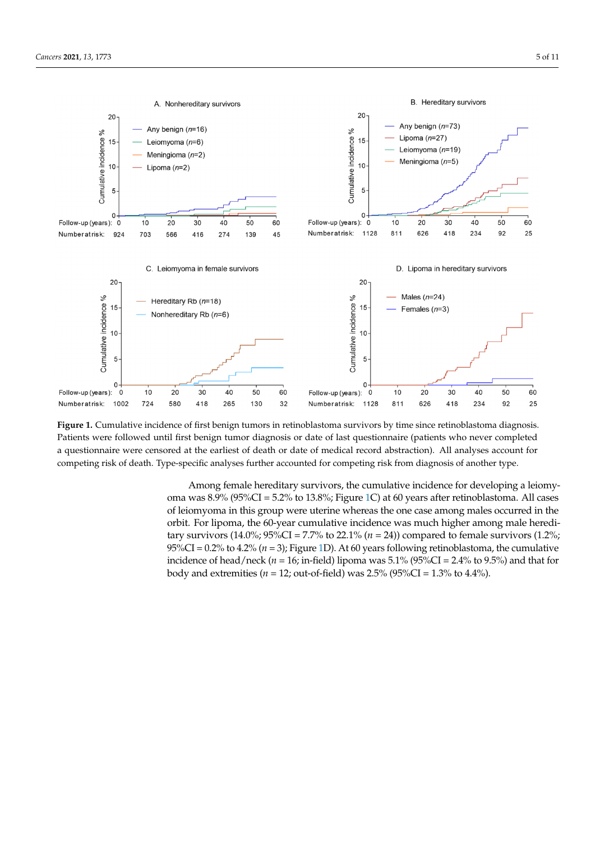<span id="page-4-0"></span>

**Figure 1.** Cumulative incidence of first benign tumors in retinoblastoma survivors by time since retinoblastoma diagnosis. Patients were followed until first benign tumor diagnosis or date of last questionnaire (patients who never completed a questionnaire were censored at the earliest of death or date of medical record abstraction). All analyses account for competing risk of death. Type-specific analyses further accounted for competing risk from diagnosis of another type. **Figure 1.** Cumulative incidence of first benign tumors in retinoblastoma survivors by time since retinoblastoma diagnosis.

Among female hereditary survivors, the cumulative incidence for developing a leiomy-oma was 8.9% (95%CI = 5.2% to 13.8%; Figure [1C](#page-4-0)) at 60 years after retinoblastoma. All cases of leiomyoma in this group were uterine whereas the one case among males occurred in the tumors (*n* = 5, 5.0%) were the most frequently reported benign tumors (Table 2). Nineteen orbit. For lipoma, the 60-year cumulative incidence was much higher among male hereditary survivors (14.0%; 95%CI = 7.7% to 22.1% (*n* = 24)) compared to female survivors (1.2%; 95%CI = 0.2% to 4.2% ( $n = 3$ ); Figure [1D](#page-4-0)). At 60 years following retinoblastoma, the cumulative incidence of head/neck ( $n = 16$ ; in-field) lipoma was 5.1% (95%CI = 2.4% to 9.5%) and that for body and extremities ( $n = 12$ ; out-of-field) was  $2.5\%$  ( $95\%$ CI =  $1.3\%$  to  $4.4\%$ ).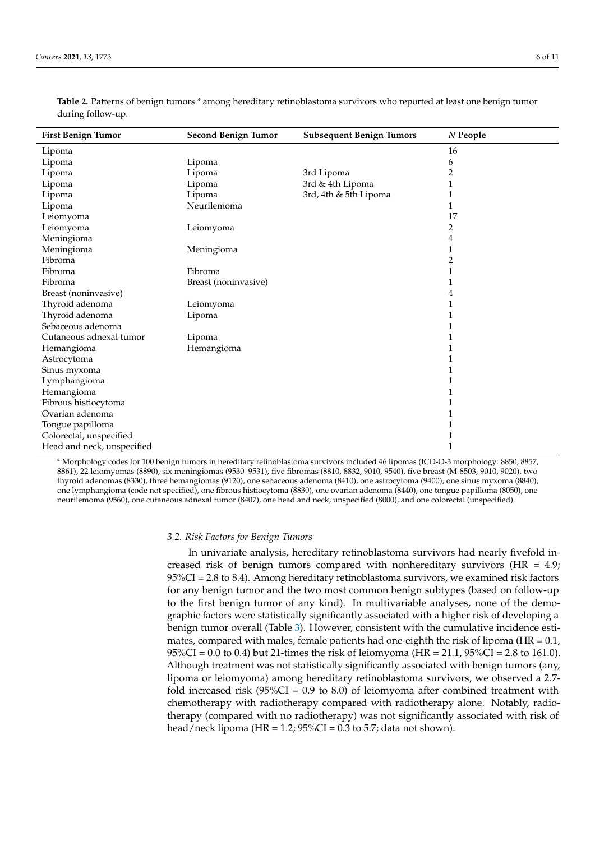| <b>First Benign Tumor</b>  | <b>Second Benign Tumor</b> | <b>Subsequent Benign Tumors</b> | $N$ People |
|----------------------------|----------------------------|---------------------------------|------------|
| Lipoma                     |                            |                                 | 16         |
| Lipoma                     | Lipoma                     |                                 | 6          |
| Lipoma                     | Lipoma                     | 3rd Lipoma                      | 2          |
| Lipoma                     | Lipoma                     | 3rd & 4th Lipoma                |            |
| Lipoma                     | Lipoma                     | 3rd, 4th & 5th Lipoma           |            |
| Lipoma                     | Neurilemoma                |                                 | 1          |
| Leiomyoma                  |                            |                                 | 17         |
| Leiomyoma                  | Leiomyoma                  |                                 | 2          |
| Meningioma                 |                            |                                 | 4          |
| Meningioma                 | Meningioma                 |                                 | 1          |
| Fibroma                    |                            |                                 | 2          |
| Fibroma                    | Fibroma                    |                                 | 1          |
| Fibroma                    | Breast (noninvasive)       |                                 | 1          |
| Breast (noninvasive)       |                            |                                 | 4          |
| Thyroid adenoma            | Leiomyoma                  |                                 | 1          |
| Thyroid adenoma            | Lipoma                     |                                 |            |
| Sebaceous adenoma          |                            |                                 | 1          |
| Cutaneous adnexal tumor    | Lipoma                     |                                 |            |
| Hemangioma                 | Hemangioma                 |                                 | 1          |
| Astrocytoma                |                            |                                 | 1          |
| Sinus myxoma               |                            |                                 | 1          |
| Lymphangioma               |                            |                                 | 1          |
| Hemangioma                 |                            |                                 | 1          |
| Fibrous histiocytoma       |                            |                                 | 1          |
| Ovarian adenoma            |                            |                                 | 1          |
| Tongue papilloma           |                            |                                 | 1          |
| Colorectal, unspecified    |                            |                                 | 1          |
| Head and neck, unspecified |                            |                                 | 1          |

<span id="page-5-0"></span>**Table 2.** Patterns of benign tumors \* among hereditary retinoblastoma survivors who reported at least one benign tumor during follow-up.

\* Morphology codes for 100 benign tumors in hereditary retinoblastoma survivors included 46 lipomas (ICD-O-3 morphology: 8850, 8857, 8861), 22 leiomyomas (8890), six meningiomas (9530–9531), five fibromas (8810, 8832, 9010, 9540), five breast (M-8503, 9010, 9020), two thyroid adenomas (8330), three hemangiomas (9120), one sebaceous adenoma (8410), one astrocytoma (9400), one sinus myxoma (8840), one lymphangioma (code not specified), one fibrous histiocytoma (8830), one ovarian adenoma (8440), one tongue papilloma (8050), one neurilemoma (9560), one cutaneous adnexal tumor (8407), one head and neck, unspecified (8000), and one colorectal (unspecified).

#### *3.2. Risk Factors for Benign Tumors*

In univariate analysis, hereditary retinoblastoma survivors had nearly fivefold increased risk of benign tumors compared with nonhereditary survivors ( $HR = 4.9$ ; 95%CI = 2.8 to 8.4). Among hereditary retinoblastoma survivors, we examined risk factors for any benign tumor and the two most common benign subtypes (based on follow-up to the first benign tumor of any kind). In multivariable analyses, none of the demographic factors were statistically significantly associated with a higher risk of developing a benign tumor overall (Table [3\)](#page-6-0). However, consistent with the cumulative incidence estimates, compared with males, female patients had one-eighth the risk of lipoma ( $HR = 0.1$ ,  $95\%CI = 0.0$  to 0.4) but 21-times the risk of leiomyoma (HR = 21.1,  $95\%CI = 2.8$  to 161.0). Although treatment was not statistically significantly associated with benign tumors (any, lipoma or leiomyoma) among hereditary retinoblastoma survivors, we observed a 2.7 fold increased risk ( $95\%CI = 0.9$  to 8.0) of leiomyoma after combined treatment with chemotherapy with radiotherapy compared with radiotherapy alone. Notably, radiotherapy (compared with no radiotherapy) was not significantly associated with risk of head/neck lipoma (HR =  $1.2$ ;  $95\%$ CI = 0.3 to 5.7; data not shown).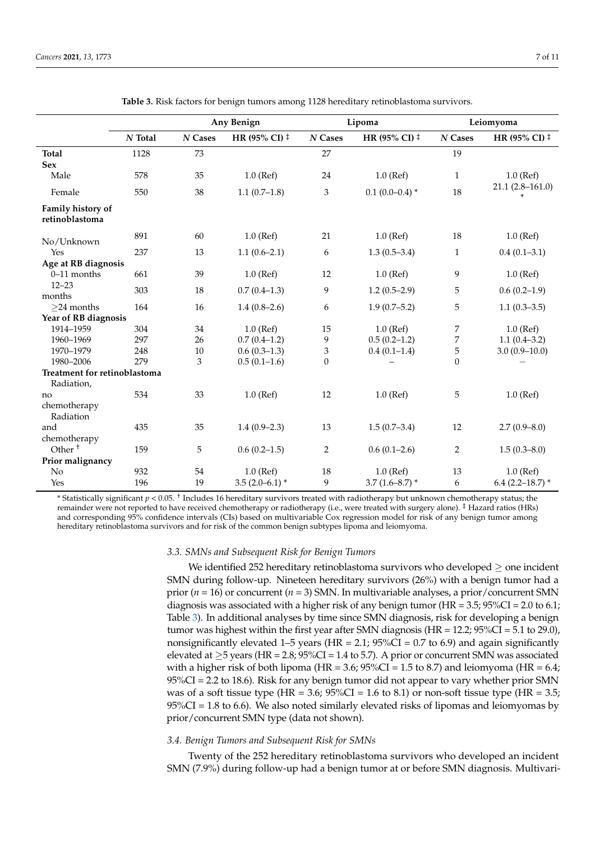<span id="page-6-0"></span>

|                                     |                  |                        | Any Benign             |                        | Lipoma                 |                        | Leiomyoma              |
|-------------------------------------|------------------|------------------------|------------------------|------------------------|------------------------|------------------------|------------------------|
|                                     | $\sqrt{N}$ Total | $\boldsymbol{N}$ Cases | HR (95% CI) $\ddagger$ | $\boldsymbol{N}$ Cases | HR (95% CI) $\ddagger$ | $\boldsymbol{N}$ Cases | HR (95% CI) $\ddagger$ |
| <b>Total</b>                        | 1128             | 73                     |                        | 27                     |                        | 19                     |                        |
| <b>Sex</b>                          |                  |                        |                        |                        |                        |                        |                        |
| Male                                | 578              | 35                     | $1.0$ (Ref)            | 24                     | $1.0$ (Ref)            | $\mathbf{1}$           | $1.0$ (Ref)            |
| Female                              | 550              | 38                     | $1.1(0.7-1.8)$         | 3                      | $0.1(0.0-0.4)$ *       | 18                     | $21.1(2.8-161.0)$      |
| Family history of<br>retinoblastoma |                  |                        |                        |                        |                        |                        |                        |
| No/Unknown                          | 891              | 60                     | $1.0$ (Ref)            | 21                     | $1.0$ (Ref)            | 18                     | $1.0$ (Ref)            |
| Yes                                 | 237              | 13                     | $1.1(0.6-2.1)$         | 6                      | $1.3(0.5-3.4)$         | $\mathbf{1}$           | $0.4(0.1 - 3.1)$       |
| Age at RB diagnosis                 |                  |                        |                        |                        |                        |                        |                        |
| $0-11$ months                       | 661              | 39                     | $1.0$ (Ref)            | 12                     | $1.0$ (Ref)            | 9                      | $1.0$ (Ref)            |
| $12 - 23$<br>months                 | 303              | 18                     | $0.7(0.4-1.3)$         | 9                      | $1.2(0.5-2.9)$         | 5                      | $0.6(0.2-1.9)$         |
| $>24$ months                        | 164              | 16                     | $1.4(0.8-2.6)$         | 6                      | $1.9(0.7-5.2)$         | 5                      | $1.1(0.3-3.5)$         |
| Year of RB diagnosis                |                  |                        |                        |                        |                        |                        |                        |
| 1914-1959                           | 304              | 34                     | $1.0$ (Ref)            | 15                     | $1.0$ (Ref)            | 7                      | $1.0$ (Ref)            |
| 1960-1969                           | 297              | 26                     | $0.7(0.4-1.2)$         | 9                      | $0.5(0.2-1.2)$         | 7                      | $1.1(0.4-3.2)$         |
| 1970-1979                           | 248              | 10                     | $0.6(0.3-1.3)$         | 3                      | $0.4(0.1-1.4)$         | $\mathbf 5$            | $3.0(0.9-10.0)$        |
| 1980-2006                           | 279              | 3                      | $0.5(0.1-1.6)$         | $\theta$               |                        | $\mathbf{0}$           |                        |
| Treatment for retinoblastoma        |                  |                        |                        |                        |                        |                        |                        |
| Radiation,                          |                  |                        |                        |                        |                        |                        |                        |
| no                                  | 534              | 33                     | $1.0$ (Ref)            | 12                     | $1.0$ (Ref)            | 5                      | $1.0$ (Ref)            |
| chemotherapy                        |                  |                        |                        |                        |                        |                        |                        |
| Radiation                           |                  |                        |                        |                        |                        |                        |                        |
| and                                 | 435              | 35                     | $1.4(0.9-2.3)$         | 13                     | $1.5(0.7-3.4)$         | 12                     | $2.7(0.9 - 8.0)$       |
| chemotherapy                        |                  |                        |                        |                        |                        |                        |                        |
| Other <sup>+</sup>                  | 159              | 5                      | $0.6(0.2-1.5)$         | 2                      | $0.6(0.1-2.6)$         | $\overline{2}$         | $1.5(0.3 - 8.0)$       |
| Prior malignancy                    |                  |                        |                        |                        |                        |                        |                        |
| No                                  | 932              | 54                     | $1.0$ (Ref)            | 18                     | $1.0$ (Ref)            | 13                     | $1.0$ (Ref)            |
| Yes                                 | 196              | 19                     | $3.5(2.0-6.1)$ *       | 9                      | $3.7(1.6 - 8.7)$ *     | 6                      | 6.4 $(2.2 - 18.7)$ *   |

| <b>Table 3.</b> Risk factors for benign tumors among 1128 hereditary retinoblastoma survivors. |  |
|------------------------------------------------------------------------------------------------|--|
|                                                                                                |  |

\* Statistically significant *p* < 0.05. † Includes 16 hereditary survivors treated with radiotherapy but unknown chemotherapy status; the remainder were not reported to have received chemotherapy or radiotherapy (i.e., were treated with surgery alone). ‡ Hazard ratios (HRs) and corresponding 95% confidence intervals (CIs) based on multivariable Cox regression model for risk of any benign tumor among hereditary retinoblastoma survivors and for risk of the common benign subtypes lipoma and leiomyoma.

#### *3.3. SMNs and Subsequent Risk for Benign Tumors*

We identified 252 hereditary retinoblastoma survivors who developed  $\geq$  one incident SMN during follow-up. Nineteen hereditary survivors (26%) with a benign tumor had a prior (*n* = 16) or concurrent (*n* = 3) SMN. In multivariable analyses, a prior/concurrent SMN diagnosis was associated with a higher risk of any benign tumor (HR =  $3.5$ ;  $95\%CI = 2.0$  to  $6.1$ ; Table [3\)](#page-6-0). In additional analyses by time since SMN diagnosis, risk for developing a benign tumor was highest within the first year after SMN diagnosis (HR = 12.2; 95%CI = 5.1 to 29.0), nonsignificantly elevated 1–5 years (HR = 2.1;  $95\%CI = 0.7$  to 6.9) and again significantly elevated at  $\geq$ 5 years (HR = 2.8; 95%CI = 1.4 to 5.7). A prior or concurrent SMN was associated with a higher risk of both lipoma (HR =  $3.6$ ;  $95\%$ CI =  $1.5$  to  $8.7$ ) and leiomyoma (HR =  $6.4$ ; 95%CI = 2.2 to 18.6). Risk for any benign tumor did not appear to vary whether prior SMN was of a soft tissue type (HR = 3.6;  $95\%CI = 1.6$  to 8.1) or non-soft tissue type (HR = 3.5;  $95\%CI = 1.8$  to 6.6). We also noted similarly elevated risks of lipomas and leiomyomas by prior/concurrent SMN type (data not shown).

## *3.4. Benign Tumors and Subsequent Risk for SMNs*

Twenty of the 252 hereditary retinoblastoma survivors who developed an incident SMN (7.9%) during follow-up had a benign tumor at or before SMN diagnosis. Multivari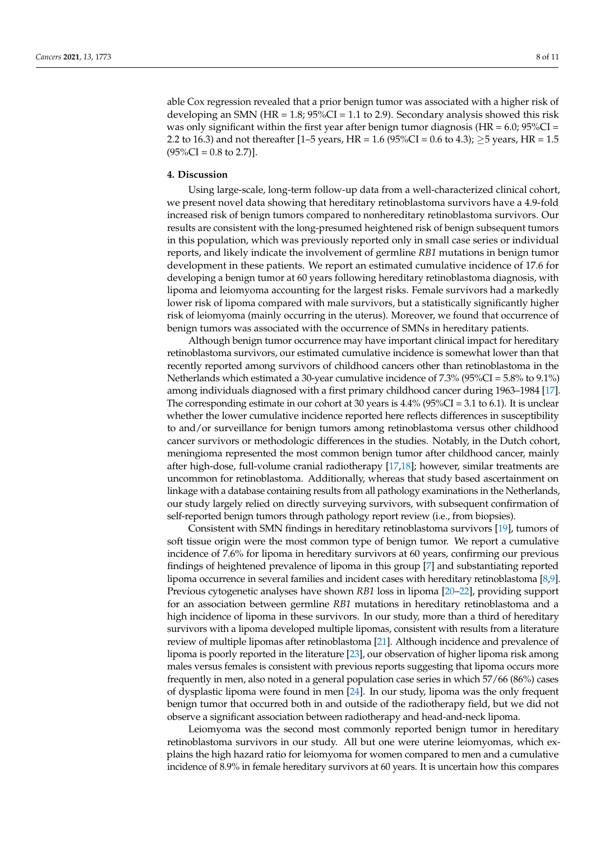able Cox regression revealed that a prior benign tumor was associated with a higher risk of developing an SMN (HR =  $1.8$ ;  $95\%CI = 1.1$  to 2.9). Secondary analysis showed this risk was only significant within the first year after benign tumor diagnosis ( $HR = 6.0$ ;  $95\%CI =$ 2.2 to 16.3) and not thereafter [1–5 years, HR = 1.6 (95%CI = 0.6 to 4.3);  $\geq$ 5 years, HR = 1.5  $(95\%CI = 0.8$  to 2.7)].

### **4. Discussion**

Using large-scale, long-term follow-up data from a well-characterized clinical cohort, we present novel data showing that hereditary retinoblastoma survivors have a 4.9-fold increased risk of benign tumors compared to nonhereditary retinoblastoma survivors. Our results are consistent with the long-presumed heightened risk of benign subsequent tumors in this population, which was previously reported only in small case series or individual reports, and likely indicate the involvement of germline *RB1* mutations in benign tumor development in these patients. We report an estimated cumulative incidence of 17.6 for developing a benign tumor at 60 years following hereditary retinoblastoma diagnosis, with lipoma and leiomyoma accounting for the largest risks. Female survivors had a markedly lower risk of lipoma compared with male survivors, but a statistically significantly higher risk of leiomyoma (mainly occurring in the uterus). Moreover, we found that occurrence of benign tumors was associated with the occurrence of SMNs in hereditary patients.

Although benign tumor occurrence may have important clinical impact for hereditary retinoblastoma survivors, our estimated cumulative incidence is somewhat lower than that recently reported among survivors of childhood cancers other than retinoblastoma in the Netherlands which estimated a 30-year cumulative incidence of 7.3% (95%CI = 5.8% to 9.1%) among individuals diagnosed with a first primary childhood cancer during 1963–1984 [\[17\]](#page-10-6). The corresponding estimate in our cohort at 30 years is  $4.4\%$  ( $95\%CI = 3.1$  to 6.1). It is unclear whether the lower cumulative incidence reported here reflects differences in susceptibility to and/or surveillance for benign tumors among retinoblastoma versus other childhood cancer survivors or methodologic differences in the studies. Notably, in the Dutch cohort, meningioma represented the most common benign tumor after childhood cancer, mainly after high-dose, full-volume cranial radiotherapy [\[17](#page-10-6)[,18\]](#page-10-7); however, similar treatments are uncommon for retinoblastoma. Additionally, whereas that study based ascertainment on linkage with a database containing results from all pathology examinations in the Netherlands, our study largely relied on directly surveying survivors, with subsequent confirmation of self-reported benign tumors through pathology report review (i.e., from biopsies).

Consistent with SMN findings in hereditary retinoblastoma survivors [\[19\]](#page-10-8), tumors of soft tissue origin were the most common type of benign tumor. We report a cumulative incidence of 7.6% for lipoma in hereditary survivors at 60 years, confirming our previous findings of heightened prevalence of lipoma in this group [\[7\]](#page-9-4) and substantiating reported lipoma occurrence in several families and incident cases with hereditary retinoblastoma [\[8,](#page-9-7)[9\]](#page-9-5). Previous cytogenetic analyses have shown *RB1* loss in lipoma [\[20–](#page-10-9)[22\]](#page-10-10), providing support for an association between germline *RB1* mutations in hereditary retinoblastoma and a high incidence of lipoma in these survivors. In our study, more than a third of hereditary survivors with a lipoma developed multiple lipomas, consistent with results from a literature review of multiple lipomas after retinoblastoma [\[21\]](#page-10-11). Although incidence and prevalence of lipoma is poorly reported in the literature [\[23\]](#page-10-12), our observation of higher lipoma risk among males versus females is consistent with previous reports suggesting that lipoma occurs more frequently in men, also noted in a general population case series in which 57/66 (86%) cases of dysplastic lipoma were found in men [\[24\]](#page-10-13). In our study, lipoma was the only frequent benign tumor that occurred both in and outside of the radiotherapy field, but we did not observe a significant association between radiotherapy and head-and-neck lipoma.

Leiomyoma was the second most commonly reported benign tumor in hereditary retinoblastoma survivors in our study. All but one were uterine leiomyomas, which explains the high hazard ratio for leiomyoma for women compared to men and a cumulative incidence of 8.9% in female hereditary survivors at 60 years. It is uncertain how this compares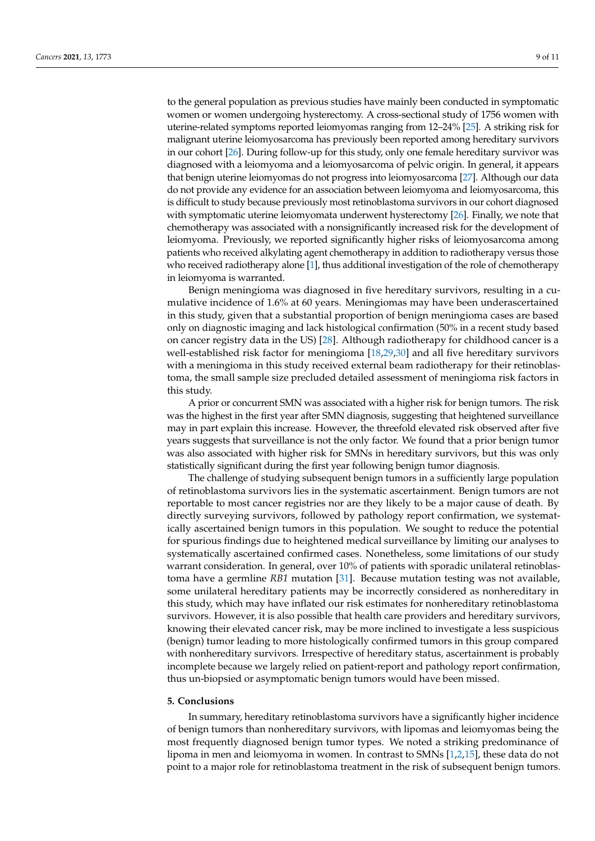to the general population as previous studies have mainly been conducted in symptomatic women or women undergoing hysterectomy. A cross-sectional study of 1756 women with uterine-related symptoms reported leiomyomas ranging from 12–24% [\[25\]](#page-10-14). A striking risk for malignant uterine leiomyosarcoma has previously been reported among hereditary survivors in our cohort [\[26\]](#page-10-15). During follow-up for this study, only one female hereditary survivor was diagnosed with a leiomyoma and a leiomyosarcoma of pelvic origin. In general, it appears that benign uterine leiomyomas do not progress into leiomyosarcoma [\[27\]](#page-10-16). Although our data do not provide any evidence for an association between leiomyoma and leiomyosarcoma, this is difficult to study because previously most retinoblastoma survivors in our cohort diagnosed with symptomatic uterine leiomyomata underwent hysterectomy [\[26\]](#page-10-15). Finally, we note that chemotherapy was associated with a nonsignificantly increased risk for the development of leiomyoma. Previously, we reported significantly higher risks of leiomyosarcoma among patients who received alkylating agent chemotherapy in addition to radiotherapy versus those who received radiotherapy alone [\[1\]](#page-9-0), thus additional investigation of the role of chemotherapy in leiomyoma is warranted.

Benign meningioma was diagnosed in five hereditary survivors, resulting in a cumulative incidence of 1.6% at 60 years. Meningiomas may have been underascertained in this study, given that a substantial proportion of benign meningioma cases are based only on diagnostic imaging and lack histological confirmation (50% in a recent study based on cancer registry data in the US) [\[28\]](#page-10-17). Although radiotherapy for childhood cancer is a well-established risk factor for meningioma [\[18,](#page-10-7)[29,](#page-10-18)[30\]](#page-10-19) and all five hereditary survivors with a meningioma in this study received external beam radiotherapy for their retinoblastoma, the small sample size precluded detailed assessment of meningioma risk factors in this study.

A prior or concurrent SMN was associated with a higher risk for benign tumors. The risk was the highest in the first year after SMN diagnosis, suggesting that heightened surveillance may in part explain this increase. However, the threefold elevated risk observed after five years suggests that surveillance is not the only factor. We found that a prior benign tumor was also associated with higher risk for SMNs in hereditary survivors, but this was only statistically significant during the first year following benign tumor diagnosis.

The challenge of studying subsequent benign tumors in a sufficiently large population of retinoblastoma survivors lies in the systematic ascertainment. Benign tumors are not reportable to most cancer registries nor are they likely to be a major cause of death. By directly surveying survivors, followed by pathology report confirmation, we systematically ascertained benign tumors in this population. We sought to reduce the potential for spurious findings due to heightened medical surveillance by limiting our analyses to systematically ascertained confirmed cases. Nonetheless, some limitations of our study warrant consideration. In general, over 10% of patients with sporadic unilateral retinoblastoma have a germline *RB1* mutation [\[31\]](#page-10-20). Because mutation testing was not available, some unilateral hereditary patients may be incorrectly considered as nonhereditary in this study, which may have inflated our risk estimates for nonhereditary retinoblastoma survivors. However, it is also possible that health care providers and hereditary survivors, knowing their elevated cancer risk, may be more inclined to investigate a less suspicious (benign) tumor leading to more histologically confirmed tumors in this group compared with nonhereditary survivors. Irrespective of hereditary status, ascertainment is probably incomplete because we largely relied on patient-report and pathology report confirmation, thus un-biopsied or asymptomatic benign tumors would have been missed.

#### **5. Conclusions**

In summary, hereditary retinoblastoma survivors have a significantly higher incidence of benign tumors than nonhereditary survivors, with lipomas and leiomyomas being the most frequently diagnosed benign tumor types. We noted a striking predominance of lipoma in men and leiomyoma in women. In contrast to SMNs [\[1,](#page-9-0)[2,](#page-9-8)[15\]](#page-10-4), these data do not point to a major role for retinoblastoma treatment in the risk of subsequent benign tumors.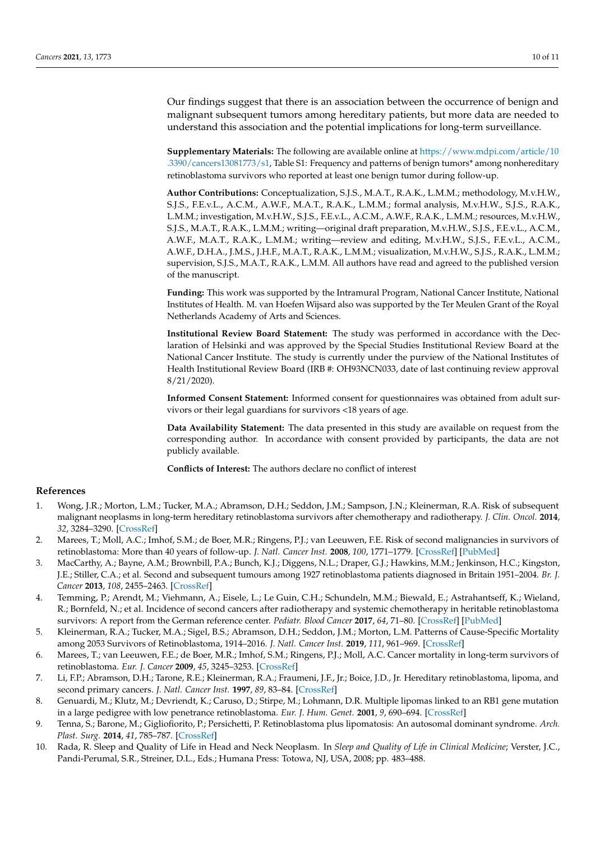Our findings suggest that there is an association between the occurrence of benign and malignant subsequent tumors among hereditary patients, but more data are needed to understand this association and the potential implications for long-term surveillance.

**Supplementary Materials:** The following are available online at [https://www.mdpi.com/article/10](https://www.mdpi.com/article/10.3390/cancers13081773/s1) [.3390/cancers13081773/s1,](https://www.mdpi.com/article/10.3390/cancers13081773/s1) Table S1: Frequency and patterns of benign tumors\* among nonhereditary retinoblastoma survivors who reported at least one benign tumor during follow-up.

**Author Contributions:** Conceptualization, S.J.S., M.A.T., R.A.K., L.M.M.; methodology, M.v.H.W., S.J.S., F.E.v.L., A.C.M., A.W.F., M.A.T., R.A.K., L.M.M.; formal analysis, M.v.H.W., S.J.S., R.A.K., L.M.M.; investigation, M.v.H.W., S.J.S., F.E.v.L., A.C.M., A.W.F., R.A.K., L.M.M.; resources, M.v.H.W., S.J.S., M.A.T., R.A.K., L.M.M.; writing—original draft preparation, M.v.H.W., S.J.S., F.E.v.L., A.C.M., A.W.F., M.A.T., R.A.K., L.M.M.; writing—review and editing, M.v.H.W., S.J.S., F.E.v.L., A.C.M., A.W.F., D.H.A., J.M.S., J.H.F., M.A.T., R.A.K., L.M.M.; visualization, M.v.H.W., S.J.S., R.A.K., L.M.M.; supervision, S.J.S., M.A.T., R.A.K., L.M.M. All authors have read and agreed to the published version of the manuscript.

**Funding:** This work was supported by the Intramural Program, National Cancer Institute, National Institutes of Health. M. van Hoefen Wijsard also was supported by the Ter Meulen Grant of the Royal Netherlands Academy of Arts and Sciences.

**Institutional Review Board Statement:** The study was performed in accordance with the Declaration of Helsinki and was approved by the Special Studies Institutional Review Board at the National Cancer Institute. The study is currently under the purview of the National Institutes of Health Institutional Review Board (IRB #: OH93NCN033, date of last continuing review approval 8/21/2020).

**Informed Consent Statement:** Informed consent for questionnaires was obtained from adult survivors or their legal guardians for survivors <18 years of age.

**Data Availability Statement:** The data presented in this study are available on request from the corresponding author. In accordance with consent provided by participants, the data are not publicly available.

**Conflicts of Interest:** The authors declare no conflict of interest

## **References**

- <span id="page-9-0"></span>1. Wong, J.R.; Morton, L.M.; Tucker, M.A.; Abramson, D.H.; Seddon, J.M.; Sampson, J.N.; Kleinerman, R.A. Risk of subsequent malignant neoplasms in long-term hereditary retinoblastoma survivors after chemotherapy and radiotherapy. *J. Clin. Oncol.* **2014**, *32*, 3284–3290. [\[CrossRef\]](http://doi.org/10.1200/JCO.2013.54.7844)
- <span id="page-9-8"></span>2. Marees, T.; Moll, A.C.; Imhof, S.M.; de Boer, M.R.; Ringens, P.J.; van Leeuwen, F.E. Risk of second malignancies in survivors of retinoblastoma: More than 40 years of follow-up. *J. Natl. Cancer Inst.* **2008**, *100*, 1771–1779. [\[CrossRef\]](http://doi.org/10.1093/jnci/djn394) [\[PubMed\]](http://www.ncbi.nlm.nih.gov/pubmed/19066271)
- 3. MacCarthy, A.; Bayne, A.M.; Brownbill, P.A.; Bunch, K.J.; Diggens, N.L.; Draper, G.J.; Hawkins, M.M.; Jenkinson, H.C.; Kingston, J.E.; Stiller, C.A.; et al. Second and subsequent tumours among 1927 retinoblastoma patients diagnosed in Britain 1951–2004. *Br. J. Cancer* **2013**, *108*, 2455–2463. [\[CrossRef\]](http://doi.org/10.1038/bjc.2013.228)
- <span id="page-9-1"></span>4. Temming, P.; Arendt, M.; Viehmann, A.; Eisele, L.; Le Guin, C.H.; Schundeln, M.M.; Biewald, E.; Astrahantseff, K.; Wieland, R.; Bornfeld, N.; et al. Incidence of second cancers after radiotherapy and systemic chemotherapy in heritable retinoblastoma survivors: A report from the German reference center. *Pediatr. Blood Cancer* **2017**, *64*, 71–80. [\[CrossRef\]](http://doi.org/10.1002/pbc.26193) [\[PubMed\]](http://www.ncbi.nlm.nih.gov/pubmed/27567086)
- <span id="page-9-2"></span>5. Kleinerman, R.A.; Tucker, M.A.; Sigel, B.S.; Abramson, D.H.; Seddon, J.M.; Morton, L.M. Patterns of Cause-Specific Mortality among 2053 Survivors of Retinoblastoma, 1914–2016. *J. Natl. Cancer Inst.* **2019**, *111*, 961–969. [\[CrossRef\]](http://doi.org/10.1093/jnci/djy227)
- <span id="page-9-3"></span>6. Marees, T.; van Leeuwen, F.E.; de Boer, M.R.; Imhof, S.M.; Ringens, P.J.; Moll, A.C. Cancer mortality in long-term survivors of retinoblastoma. *Eur. J. Cancer* **2009**, *45*, 3245–3253. [\[CrossRef\]](http://doi.org/10.1016/j.ejca.2009.05.011)
- <span id="page-9-4"></span>7. Li, F.P.; Abramson, D.H.; Tarone, R.E.; Kleinerman, R.A.; Fraumeni, J.F., Jr.; Boice, J.D., Jr. Hereditary retinoblastoma, lipoma, and second primary cancers. *J. Natl. Cancer Inst.* **1997**, *89*, 83–84. [\[CrossRef\]](http://doi.org/10.1093/jnci/89.1.83)
- <span id="page-9-7"></span>8. Genuardi, M.; Klutz, M.; Devriendt, K.; Caruso, D.; Stirpe, M.; Lohmann, D.R. Multiple lipomas linked to an RB1 gene mutation in a large pedigree with low penetrance retinoblastoma. *Eur. J. Hum. Genet.* **2001**, *9*, 690–694. [\[CrossRef\]](http://doi.org/10.1038/sj.ejhg.5200694)
- <span id="page-9-5"></span>9. Tenna, S.; Barone, M.; Gigliofiorito, P.; Persichetti, P. Retinoblastoma plus lipomatosis: An autosomal dominant syndrome. *Arch. Plast. Surg.* **2014**, *41*, 785–787. [\[CrossRef\]](http://doi.org/10.5999/aps.2014.41.6.785)
- <span id="page-9-6"></span>10. Rada, R. Sleep and Quality of Life in Head and Neck Neoplasm. In *Sleep and Quality of Life in Clinical Medicine*; Verster, J.C., Pandi-Perumal, S.R., Streiner, D.L., Eds.; Humana Press: Totowa, NJ, USA, 2008; pp. 483–488.